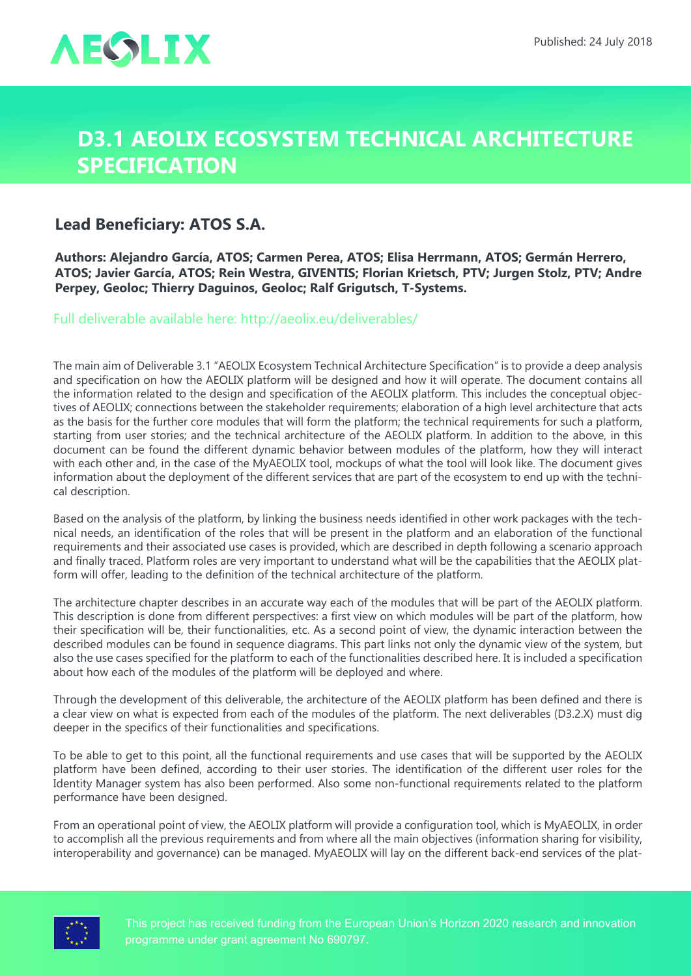

## **D3.1 AEOLIX Ecosystem Technical Architecture Specification**

## **Lead Beneficiary: ATOS S.A.**

**Authors: Alejandro García, ATOS; Carmen Perea, ATOS; Elisa Herrmann, ATOS; Germán Herrero, ATOS; Javier García, ATOS; Rein Westra, GIVENTIS; Florian Krietsch, PTV; Jurgen Stolz, PTV; Andre Perpey, Geoloc; Thierry Daguinos, Geoloc; Ralf Grigutsch, T-Systems.**

Full deliverable available here: <http://aeolix.eu/deliverables/>

The main aim of Deliverable 3.1 "AEOLIX Ecosystem Technical Architecture Specification" is to provide a deep analysis and specification on how the AEOLIX platform will be designed and how it will operate. The document contains all the information related to the design and specification of the AEOLIX platform. This includes the conceptual objectives of AEOLIX; connections between the stakeholder requirements; elaboration of a high level architecture that acts as the basis for the further core modules that will form the platform; the technical requirements for such a platform, starting from user stories; and the technical architecture of the AEOLIX platform. In addition to the above, in this document can be found the different dynamic behavior between modules of the platform, how they will interact with each other and, in the case of the MyAEOLIX tool, mockups of what the tool will look like. The document gives information about the deployment of the different services that are part of the ecosystem to end up with the technical description.

Based on the analysis of the platform, by linking the business needs identified in other work packages with the technical needs, an identification of the roles that will be present in the platform and an elaboration of the functional requirements and their associated use cases is provided, which are described in depth following a scenario approach and finally traced. Platform roles are very important to understand what will be the capabilities that the AEOLIX platform will offer, leading to the definition of the technical architecture of the platform.

The architecture chapter describes in an accurate way each of the modules that will be part of the AEOLIX platform. This description is done from different perspectives: a first view on which modules will be part of the platform, how their specification will be, their functionalities, etc. As a second point of view, the dynamic interaction between the described modules can be found in sequence diagrams. This part links not only the dynamic view of the system, but also the use cases specified for the platform to each of the functionalities described here. It is included a specification about how each of the modules of the platform will be deployed and where.

Through the development of this deliverable, the architecture of the AEOLIX platform has been defined and there is a clear view on what is expected from each of the modules of the platform. The next deliverables (D3.2.X) must dig deeper in the specifics of their functionalities and specifications.

To be able to get to this point, all the functional requirements and use cases that will be supported by the AEOLIX platform have been defined, according to their user stories. The identification of the different user roles for the Identity Manager system has also been performed. Also some non-functional requirements related to the platform performance have been designed.

From an operational point of view, the AEOLIX platform will provide a configuration tool, which is MyAEOLIX, in order to accomplish all the previous requirements and from where all the main objectives (information sharing for visibility, interoperability and governance) can be managed. MyAEOLIX will lay on the different back-end services of the plat-